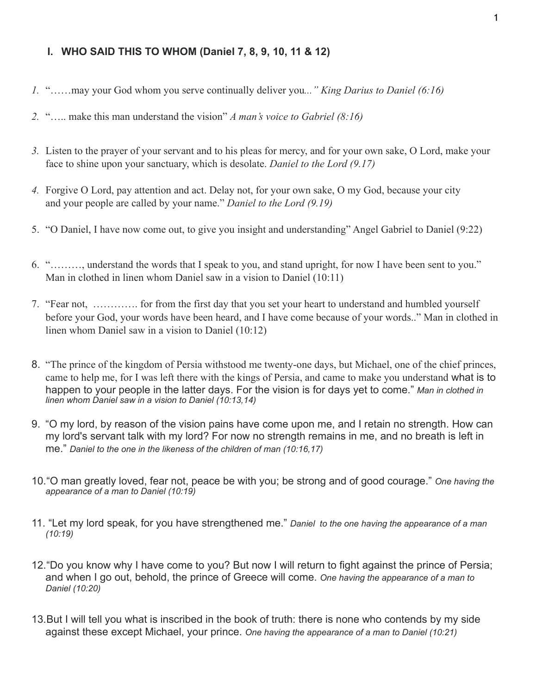### **I. WHO SAID THIS TO WHOM (Daniel 7, 8, 9, 10, 11 & 12)**

- *1.* "……may your God whom you serve continually deliver you*..." King Darius to Daniel (6:16)*
- *2.* "….. make this man understand the vision" *A man's voice to Gabriel (8:16)*
- *3.* Listen to the prayer of your servant and to his pleas for mercy, and for your own sake, O Lord, make your face to shine upon your sanctuary, which is desolate. *Daniel to the Lord (9.17)*
- *4.* Forgive O Lord, pay attention and act. Delay not, for your own sake, O my God, because your city and your people are called by your name." *Daniel to the Lord (9.19)*
- 5. "O Daniel, I have now come out, to give you insight and understanding" Angel Gabriel to Daniel (9:22)
- 6. "………, understand the words that I speak to you, and stand upright, for now I have been sent to you." Man in clothed in linen whom Daniel saw in a vision to Daniel (10:11)
- 7. "Fear not, …………. for from the first day that you set your heart to understand and humbled yourself before your God, your words have been heard, and I have come because of your words.." Man in clothed in linen whom Daniel saw in a vision to Daniel (10:12)
- 8. "The prince of the kingdom of Persia withstood me twenty-one days, but Michael, one of the chief princes, came to help me, for I was left there with the kings of Persia, and came to make you understand what is to happen to your people in the latter days. For the vision is for days yet to come." *Man in clothed in linen whom Daniel saw in a vision to Daniel (10:13,14)*
- 9. "O my lord, by reason of the vision pains have come upon me, and I retain no strength. How can my lord's servant talk with my lord? For now no strength remains in me, and no breath is left in me." *Daniel to the one in the likeness of the children of man (10:16,17)*
- 10."O man greatly loved, fear not, peace be with you; be strong and of good courage." *One having the appearance of a man to Daniel (10:19)*
- 11. "Let my lord speak, for you have strengthened me." *Daniel to the one having the appearance of a man (10:19)*
- 12."Do you know why I have come to you? But now I will return to fight against the prince of Persia; and when I go out, behold, the prince of Greece will come. *One having the appearance of a man to Daniel (10:20)*
- 13.But I will tell you what is inscribed in the book of truth: there is none who contends by my side against these except Michael, your prince. *One having the appearance of a man to Daniel (10:21)*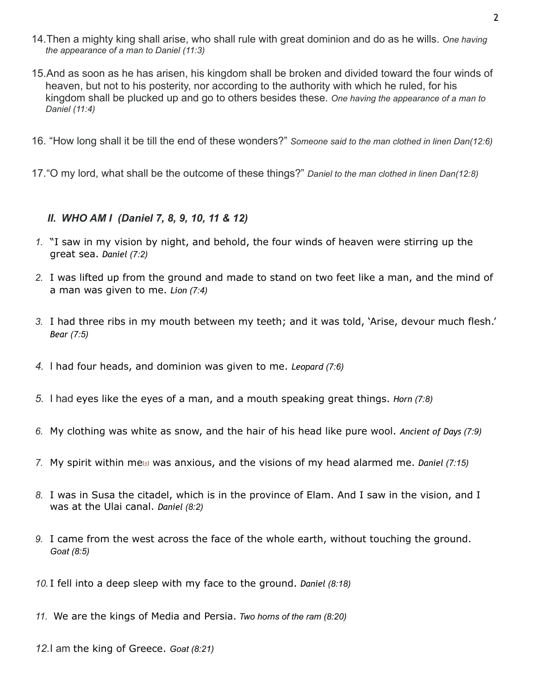- 14.Then a mighty king shall arise, who shall rule with great dominion and do as he wills. *One having the appearance of a man to Daniel (11:3)*
- 15.And as soon as he has arisen, his kingdom shall be broken and divided toward the four winds of heaven, but not to his posterity, nor according to the authority with which he ruled, for his kingdom shall be plucked up and go to others besides these. *One having the appearance of a man to Daniel (11:4)*
- 16. "How long shall it be till the end of these wonders?" *Someone said to the man clothed in linen Dan(12:6)*
- 17."O my lord, what shall be the outcome of these things?" *Daniel to the man clothed in linen Dan(12:8)*

## *II. WHO AM I (Daniel 7, 8, 9, 10, 11 & 12)*

- *1.* "I saw in my vision by night, and behold, the four winds of heaven were stirring up the great sea. *Daniel (7:2)*
- *2.* I was lifted up from the ground and made to stand on two feet like a man, and the mind of a man was given to me. *Lion (7:4)*
- *3.* I had three ribs in my mouth between my teeth; and it was told, 'Arise, devour much flesh.' *Bear (7:5)*
- *4.* I had four heads, and dominion was given to me. *Leopard (7:6)*
- *5.* I had eyes like the eyes of a man, and a mouth speaking great things. *Horn (7:8)*
- *6.* My clothing was white as snow, and the hair of his head like pure wool. *Ancient of Days (7:9)*
- *7.* My spirit within me[[a\]](https://www.biblegateway.com/passage/?search=daniel+7.15&version=ESV#fen-ESV-21949a) was anxious, and the visions of my head alarmed me. *Daniel (7:15)*
- *8.* I was in Susa the citadel, which is in the province of Elam. And I saw in the vision, and I was at the Ulai canal. *Daniel (8:2)*
- *9.* I came from the west across the face of the whole earth, without touching the ground. *Goat (8:5)*
- *10.* I fell into a deep sleep with my face to the ground. *Daniel (8:18)*
- *11.* We are the kings of Media and Persia. *Two horns of the ram (8:20)*
- *12.*I am the king of Greece. *Goat (8:21)*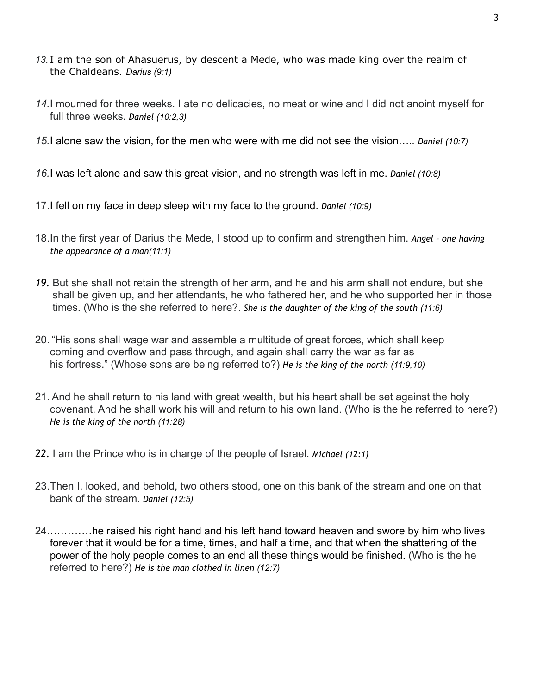- *13.* I am the son of Ahasuerus, by descent a Mede, who was made king over the realm of the Chaldeans. *Darius (9:1)*
- *14.*I mourned for three weeks. I ate no delicacies, no meat or wine and I did not anoint myself for full three weeks. *Daniel (10:2,3)*
- *15.*I alone saw the vision, for the men who were with me did not see the vision….*. Daniel (10:7)*
- *16.*I was left alone and saw this great vision, and no strength was left in me. *Daniel (10:8)*
- 17.I fell on my face in deep sleep with my face to the ground. *Daniel (10:9)*
- 18.In the first year of Darius the Mede, I stood up to confirm and strengthen him. *Angel one having the appearance of a man(11:1)*
- *19.* But she shall not retain the strength of her arm, and he and his arm shall not endure, but she shall be given up, and her attendants, he who fathered her, and he who supported her in those times. (Who is the she referred to here?. *She is the daughter of the king of the south (11:6)*
- 20. "His sons shall wage war and assemble a multitude of great forces, which shall keep coming and overflow and pass through, and again shall carry the war as far as his fortress." (Whose sons are being referred to?) *He is the king of the north (11:9,10)*
- 21. And he shall return to his land with great wealth, but his heart shall be set against the holy covenant. And he shall work his will and return to his own land. (Who is the he referred to here?) *He is the king of the north (11:28)*
- *22.* I am the Prince who is in charge of the people of Israel. *Michael (12:1)*
- 23.Then I, looked, and behold, two others stood, one on this bank of the stream and one on that bank of the stream. *Daniel (12:5)*
- 24.…………he raised his right hand and his left hand toward heaven and swore by him who lives forever that it would be for a time, times, and half a time, and that when the shattering of the power of the holy people comes to an end all these things would be finished. (Who is the he referred to here?) *He is the man clothed in linen (12:7)*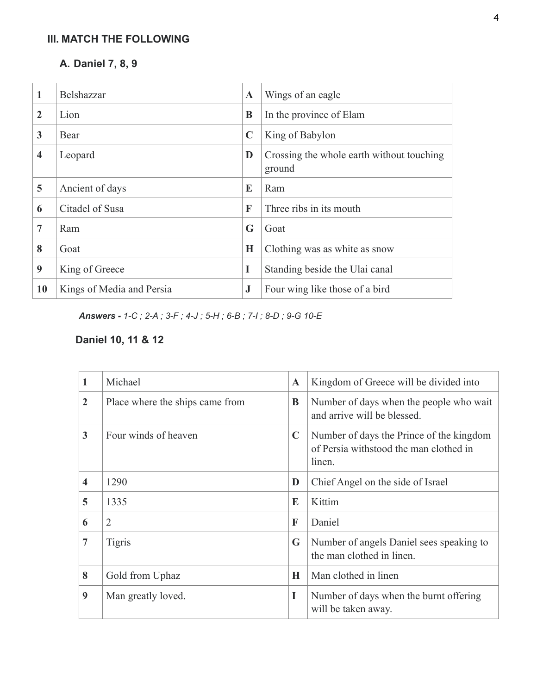# **III. MATCH THE FOLLOWING**

## **A. Daniel 7, 8, 9**

| 1                       | Belshazzar                | $\mathbf A$ | Wings of an eagle                                   |
|-------------------------|---------------------------|-------------|-----------------------------------------------------|
| $\overline{2}$          | Lion                      | B           | In the province of Elam                             |
| 3                       | Bear                      | $\mathbf C$ | King of Babylon                                     |
| $\overline{\mathbf{4}}$ | Leopard                   | D           | Crossing the whole earth without touching<br>ground |
| 5                       | Ancient of days           | E           | Ram                                                 |
| 6                       | Citadel of Susa           | F           | Three ribs in its mouth                             |
| $\overline{7}$          | Ram                       | G           | Goat                                                |
| 8                       | Goat                      | Н           | Clothing was as white as snow                       |
| 9                       | King of Greece            | I           | Standing beside the Ulai canal                      |
| 10                      | Kings of Media and Persia | $\bf J$     | Four wing like those of a bird                      |

*Answers - 1-C ; 2-A ; 3-F ; 4-J ; 5-H ; 6-B ; 7-I ; 8-D ; 9-G 10-E* 

# **Daniel 10, 11 & 12**

| 1                       | Michael                         | $\mathbf A$ | Kingdom of Greece will be divided into                                                       |
|-------------------------|---------------------------------|-------------|----------------------------------------------------------------------------------------------|
| $\overline{2}$          | Place where the ships came from | B           | Number of days when the people who wait<br>and arrive will be blessed.                       |
| 3                       | Four winds of heaven            | $\mathbf C$ | Number of days the Prince of the kingdom<br>of Persia withstood the man clothed in<br>linen. |
| $\overline{\mathbf{4}}$ | 1290                            | D           | Chief Angel on the side of Israel                                                            |
| 5                       | 1335                            | E           | Kittim                                                                                       |
| 6                       | $\overline{2}$                  | F           | Daniel                                                                                       |
| $\overline{7}$          | <b>Tigris</b>                   | G           | Number of angels Daniel sees speaking to<br>the man clothed in linen.                        |
| 8                       | Gold from Uphaz                 | H           | Man clothed in linen                                                                         |
| 9                       | Man greatly loved.              | I           | Number of days when the burnt offering<br>will be taken away.                                |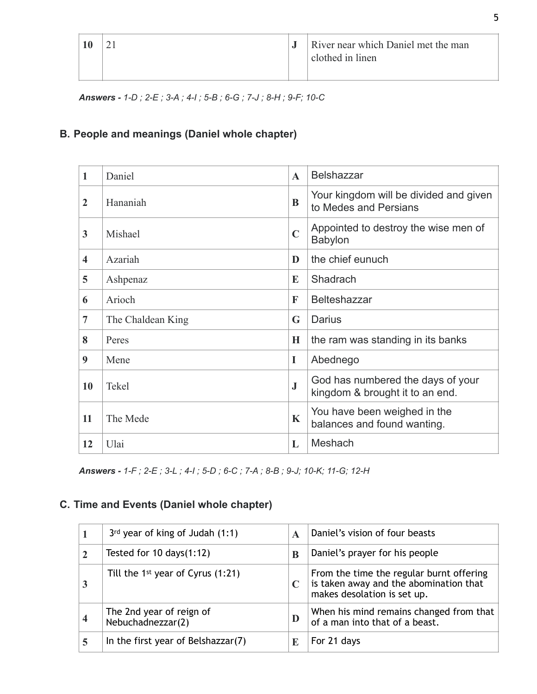|  | River near which Daniel met the man<br>clothed in linen |
|--|---------------------------------------------------------|
|  |                                                         |

*Answers - 1-D ; 2-E ; 3-A ; 4-I ; 5-B ; 6-G ; 7-J ; 8-H ; 9-F; 10-C* 

## **B. People and meanings (Daniel whole chapter)**

| 1                       | Daniel            | $\mathbf{A}$ | <b>Belshazzar</b>                                                    |
|-------------------------|-------------------|--------------|----------------------------------------------------------------------|
| $\overline{2}$          | Hananiah          | $\bf{B}$     | Your kingdom will be divided and given<br>to Medes and Persians      |
| 3                       | Mishael           | $\mathbf C$  | Appointed to destroy the wise men of<br>Babylon                      |
| $\overline{\mathbf{4}}$ | Azariah           | D            | the chief eunuch                                                     |
| 5                       | Ashpenaz          | E            | Shadrach                                                             |
| 6                       | Arioch            | F            | <b>Belteshazzar</b>                                                  |
| 7                       | The Chaldean King | G            | Darius                                                               |
| 8                       | Peres             | H            | the ram was standing in its banks                                    |
| 9                       | Mene              | I            | Abednego                                                             |
| 10                      | Tekel             | $\bf J$      | God has numbered the days of your<br>kingdom & brought it to an end. |
| 11                      | The Mede          | $\mathbf K$  | You have been weighed in the<br>balances and found wanting.          |
| 12                      | Ulai              | L            | Meshach                                                              |

*Answers - 1-F ; 2-E ; 3-L ; 4-I ; 5-D ; 6-C ; 7-A ; 8-B ; 9-J; 10-K; 11-G; 12-H* 

# **C. Time and Events (Daniel whole chapter)**

| $3rd$ year of king of Judah (1:1)             | A           | Daniel's vision of four beasts                                                                                    |
|-----------------------------------------------|-------------|-------------------------------------------------------------------------------------------------------------------|
| Tested for $10 \text{ days}(1:12)$            | B           | Daniel's prayer for his people                                                                                    |
| Till the 1st year of Cyrus $(1:21)$           | $\mathbf C$ | From the time the regular burnt offering<br>is taken away and the abomination that<br>makes desolation is set up. |
| The 2nd year of reign of<br>Nebuchadnezzar(2) | D           | When his mind remains changed from that<br>of a man into that of a beast.                                         |
| In the first year of Belshazzar(7)            | E           | For 21 days                                                                                                       |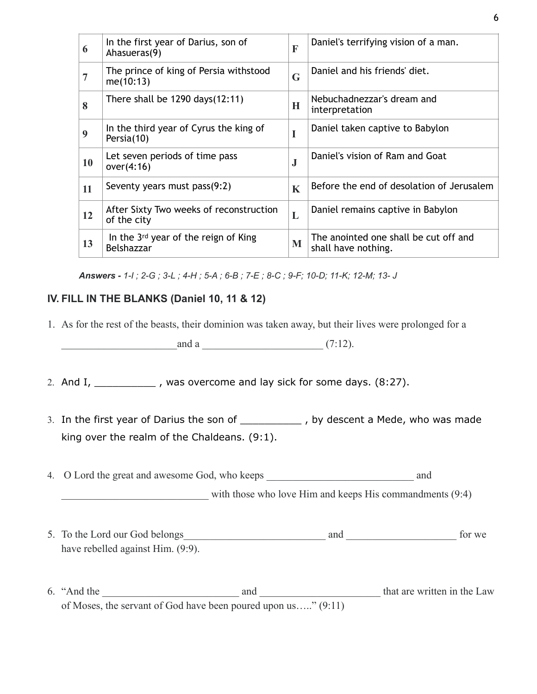| 6              | In the first year of Darius, son of<br>Ahasueras(9)    | $\mathbf{F}$ | Daniel's terrifying vision of a man.                         |
|----------------|--------------------------------------------------------|--------------|--------------------------------------------------------------|
| $\overline{7}$ | The prince of king of Persia withstood<br>me(10:13)    | G            | Daniel and his friends' diet.                                |
| 8              | There shall be $1290 \text{ days}(12:11)$              | H            | Nebuchadnezzar's dream and<br>interpretation                 |
| 9              | In the third year of Cyrus the king of<br>Persia(10)   | I            | Daniel taken captive to Babylon                              |
| 10             | Let seven periods of time pass<br>over(4:16)           | $\bf J$      | Daniel's vision of Ram and Goat                              |
| 11             | Seventy years must pass(9:2)                           | $\mathbf K$  | Before the end of desolation of Jerusalem                    |
| 12             | After Sixty Two weeks of reconstruction<br>of the city | L            | Daniel remains captive in Babylon                            |
| 13             | In the 3rd year of the reign of King<br>Belshazzar     | M            | The anointed one shall be cut off and<br>shall have nothing. |

*Answers - 1-I ; 2-G ; 3-L ; 4-H ; 5-A ; 6-B ; 7-E ; 8-C ; 9-F; 10-D; 11-K; 12-M; 13- J* 

### **IV. FILL IN THE BLANKS (Daniel 10, 11 & 12)**

1. As for the rest of the beasts, their dominion was taken away, but their lives were prolonged for a

\_\_\_\_\_\_\_\_\_\_\_\_\_\_\_\_\_\_\_\_\_\_and a \_\_\_\_\_\_\_\_\_\_\_\_\_\_\_\_\_\_\_\_\_\_\_ (7:12).

2. And  $I_1$  \_\_\_\_\_\_\_\_\_\_\_\_\_, was overcome and lay sick for some days.  $(8:27)$ .

3. In the first year of Darius the son of \_\_\_\_\_\_\_\_\_\_ , by descent a Mede, who was made king over the realm of the Chaldeans. (9:1).

4. O Lord the great and awesome God, who keeps \_\_\_\_\_\_\_\_\_\_\_\_\_\_\_\_\_\_\_\_\_\_\_\_\_\_\_\_ and with those who love Him and keeps His commandments  $(9:4)$ 

- 5. To the Lord our God belongs\_\_\_\_\_\_\_\_\_\_\_\_\_\_\_\_\_\_\_\_\_\_\_\_\_\_\_ and \_\_\_\_\_\_\_\_\_\_\_\_\_\_\_\_\_\_\_\_\_ for we have rebelled against Him.  $(9:9)$ .
- 6. "And the \_\_\_\_\_\_\_\_\_\_\_\_\_\_\_\_\_\_\_\_\_\_\_\_\_\_ and \_\_\_\_\_\_\_\_\_\_\_\_\_\_\_\_\_\_\_\_\_\_\_ that are written in the Law of Moses, the servant of God have been poured upon us….." (9:11)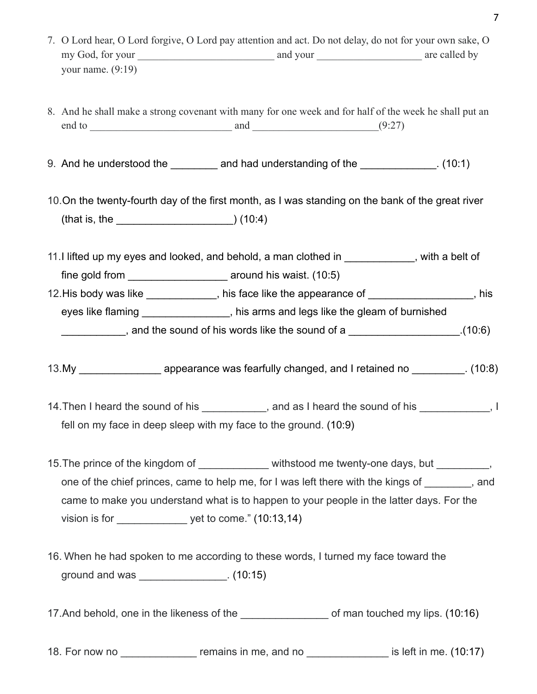- 7. O Lord hear, O Lord forgive, O Lord pay attention and act. Do not delay, do not for your own sake, O my God, for your and your and your and your are called by your name.  $(9:19)$
- 8. And he shall make a strong covenant with many for one week and for half of the week he shall put an end to  $\qquad \qquad \text{and} \qquad \qquad (9.27)$
- 9. And he understood the \_\_\_\_\_\_\_\_ and had understanding of the \_\_\_\_\_\_\_\_\_\_\_\_\_. (10:1)
- 10.On the twenty-fourth day of the first month, as I was standing on the bank of the great river (that is, the \_\_\_\_\_\_\_\_\_\_\_\_\_\_\_\_\_\_\_\_) (10:4)
- 11.I lifted up my eyes and looked, and behold, a man clothed in example in the section of fine gold from **a** around his waist. (10:5) 12. His body was like \_\_\_\_\_\_\_\_\_\_\_\_\_, his face like the appearance of  $\qquad \qquad$ , his
- eyes like flaming \_\_\_\_\_\_\_\_\_\_\_\_\_\_\_, his arms and legs like the gleam of burnished , and the sound of his words like the sound of a  $(10.6)$
- 13.My \_\_\_\_\_\_\_\_\_\_\_\_\_\_\_ appearance was fearfully changed, and I retained no \_\_\_\_\_\_\_\_\_\_. (10:8)
- 14. Then I heard the sound of his end as I heard the sound of his  $\vert$ , I fell on my face in deep sleep with my face to the ground. (10:9)
- 15. The prince of the kingdom of \_\_\_\_\_\_\_\_\_\_\_\_\_\_ withstood me twenty-one days, but \_\_\_\_\_\_\_\_, one of the chief princes, came to help me, for I was left there with the kings of \_\_\_\_\_\_\_, and came to make you understand what is to happen to your people in the latter days. For the vision is for  $y = y$ et to come." (10:13,14)
- 16. When he had spoken to me according to these words, I turned my face toward the ground and was \_\_\_\_\_\_\_\_\_\_\_\_\_\_\_. (10:15)
- 17.And behold, one in the likeness of the \_\_\_\_\_\_\_\_\_\_\_\_\_\_\_ of man touched my lips. (10:16)
- 18. For now no come in me, and no contract is left in me. (10:17)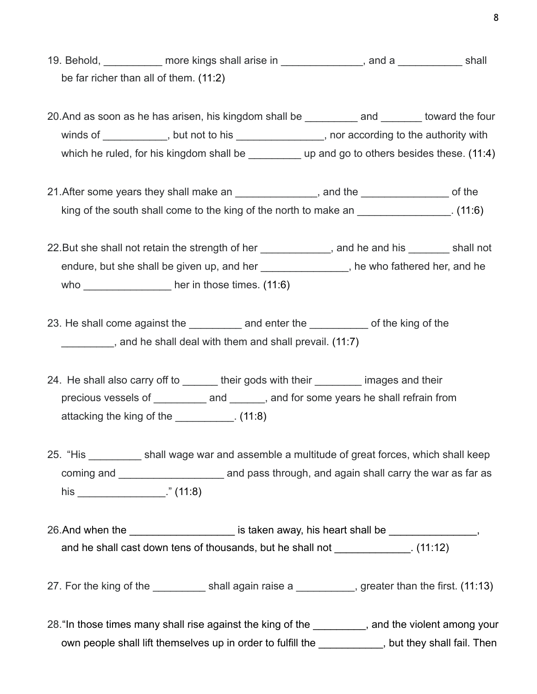- 19. Behold, The more kings shall arise in The Communication and a Theorem and Shall be far richer than all of them. (11:2)
- 20.And as soon as he has arisen, his kingdom shall be \_\_\_\_\_\_\_\_\_ and \_\_\_\_\_\_\_ toward the four winds of \_\_\_\_\_\_\_\_\_\_\_, but not to his \_\_\_\_\_\_\_\_\_\_\_\_\_\_\_, nor according to the authority with which he ruled, for his kingdom shall be \_\_\_\_\_\_\_\_\_\_\_\_ up and go to others besides these. (11:4)
- 21.After some years they shall make an  $\blacksquare$  and the  $\blacksquare$  and the  $\blacksquare$ king of the south shall come to the king of the north to make an \_\_\_\_\_\_\_\_\_\_\_\_\_\_\_\_. (11:6)
- 22. But she shall not retain the strength of her the strength of her and he and his shall not endure, but she shall be given up, and her \_\_\_\_\_\_\_\_\_\_\_\_\_\_\_\_, he who fathered her, and he who ber in those times. (11:6)
- 23. He shall come against the and enter the of the king of the \_\_\_\_\_\_\_\_\_, and he shall deal with them and shall prevail. (11:7)
- 24. He shall also carry off to entity their gods with their their images and their precious vessels of \_\_\_\_\_\_\_\_\_ and \_\_\_\_\_\_, and for some years he shall refrain from attacking the king of the \_\_\_\_\_\_\_\_\_\_. (11:8)
- 25. "His shall wage war and assemble a multitude of great forces, which shall keep coming and \_\_\_\_\_\_\_\_\_\_\_\_\_\_\_\_\_\_ and pass through, and again shall carry the war as far as his \_\_\_\_\_\_\_\_\_\_\_\_\_\_\_." (11:8)
- 26.And when the the the staten away, his heart shall be  $\sim$ and he shall cast down tens of thousands, but he shall not \_\_\_\_\_\_\_\_\_\_\_\_\_\_. (11:12)
- 27. For the king of the same of the shall again raise a same section of greater than the first. (11:13)
- 28. "In those times many shall rise against the king of the same and the violent among your own people shall lift themselves up in order to fulfill the the solut they shall fail. Then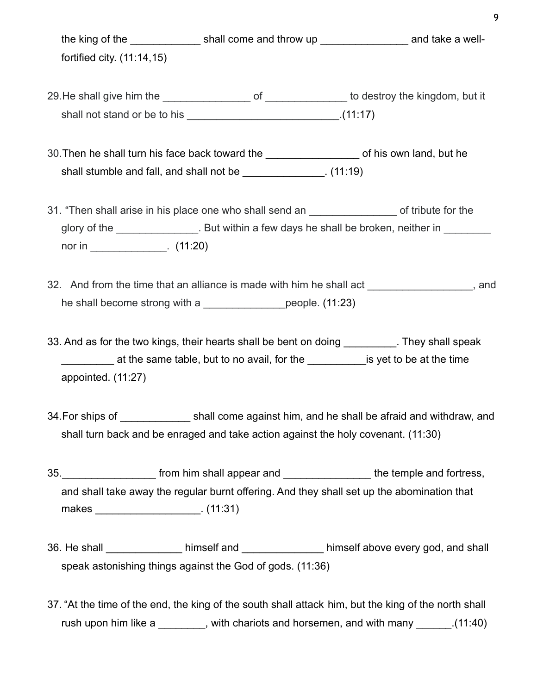the king of the **EXEC SHALL SHALL COME AND THE SHALL COME A** and take a wellfortified city. (11:14,15) 29.He shall give him the \_\_\_\_\_\_\_\_\_\_\_\_\_\_\_ of \_\_\_\_\_\_\_\_\_\_\_\_\_\_ to destroy the kingdom, but it shall not stand or be to his \_\_\_\_\_\_\_\_\_\_\_\_\_\_\_\_\_\_\_\_\_\_\_\_\_\_\_\_\_\_\_\_\_\_.(11:17) 30.Then he shall turn his face back toward the \_\_\_\_\_\_\_\_\_\_\_\_\_\_\_\_ of his own land, but he shall stumble and fall, and shall not be \_\_\_\_\_\_\_\_\_\_\_\_\_\_\_. (11:19) 31. "Then shall arise in his place one who shall send an Theorem 2011 of tribute for the glory of the \_\_\_\_\_\_\_\_\_\_\_\_\_\_. But within a few days he shall be broken, neither in nor in . (11:20) 32. And from the time that an alliance is made with him he shall act example is not and he shall become strong with a \_\_\_\_\_\_\_\_\_\_\_\_\_\_people. (11:23) 33. And as for the two kings, their hearts shall be bent on doing They shall speak at the same table, but to no avail, for the the same is yet to be at the time appointed. (11:27) 34. For ships of **State Shall come against him, and he shall be afraid and withdraw, and** 34. For ships of shall turn back and be enraged and take action against the holy covenant. (11:30) 35. The state of the shall appear and the temple and fortress, and shall take away the regular burnt offering. And they shall set up the abomination that makes \_\_\_\_\_\_\_\_\_\_\_\_\_\_\_\_\_\_. (11:31) 36. He shall \_\_\_\_\_\_\_\_\_\_\_\_\_ himself and \_\_\_\_\_\_\_\_\_\_\_\_\_\_ himself above every god, and shall speak astonishing things against the God of gods. (11:36) 37. "At the time of the end, the king of the south shall attack him, but the king of the north shall

rush upon him like a \_\_\_\_\_\_\_, with chariots and horsemen, and with many  $(11.40)$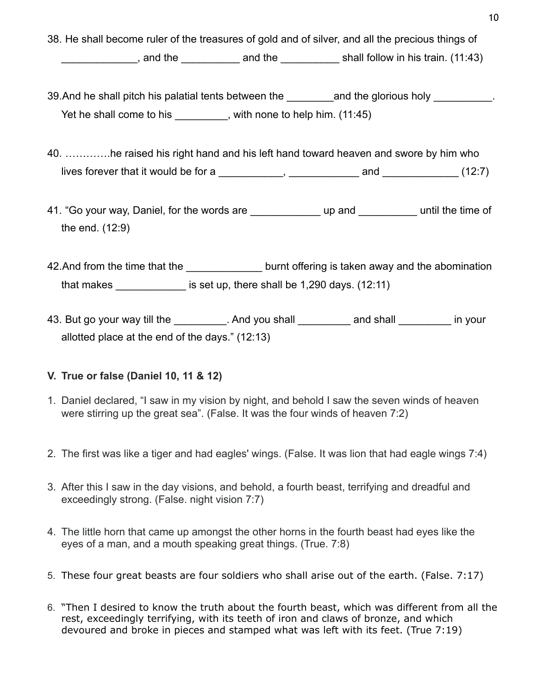38. He shall become ruler of the treasures of gold and of silver, and all the precious things of

and the and the zero and the shall follow in his train. (11:43)

39. And he shall pitch his palatial tents between the and the glorious holy and the glorious holy and the shall pitch his palatial tents between the Yet he shall come to his with none to help him. (11:45)

40. ………….he raised his right hand and his left hand toward heaven and swore by him who lives forever that it would be for a \_\_\_\_\_\_\_\_\_\_\_, \_\_\_\_\_\_\_\_\_\_\_\_ and \_\_\_\_\_\_\_\_\_\_\_\_\_ (12:7)

41. "Go your way, Daniel, for the words are \_\_\_\_\_\_\_\_\_\_\_\_ up and \_\_\_\_\_\_\_\_\_\_ until the time of the end. (12:9)

42.And from the time that the discussed burnt offering is taken away and the abomination that makes  $\frac{1}{2}$  is set up, there shall be 1,290 days. (12:11)

43. But go your way till the the state of the And you shall and shall the state in your allotted place at the end of the days." (12:13)

### **V. True or false (Daniel 10, 11 & 12)**

- 1. Daniel declared, "I saw in my vision by night, and behold I saw the seven winds of heaven were stirring up the great sea". (False. It was the four winds of heaven 7:2)
- 2. The first was like a tiger and had eagles' wings. (False. It was lion that had eagle wings 7:4)
- 3. After this I saw in the day visions, and behold, a fourth beast, terrifying and dreadful and exceedingly strong. (False. night vision 7:7)
- 4. The little horn that came up amongst the other horns in the fourth beast had eyes like the eyes of a man, and a mouth speaking great things. (True. 7:8)
- 5. These four great beasts are four soldiers who shall arise out of the earth. (False. 7:17)
- 6. "Then I desired to know the truth about the fourth beast, which was different from all the rest, exceedingly terrifying, with its teeth of iron and claws of bronze, and which devoured and broke in pieces and stamped what was left with its feet. (True 7:19)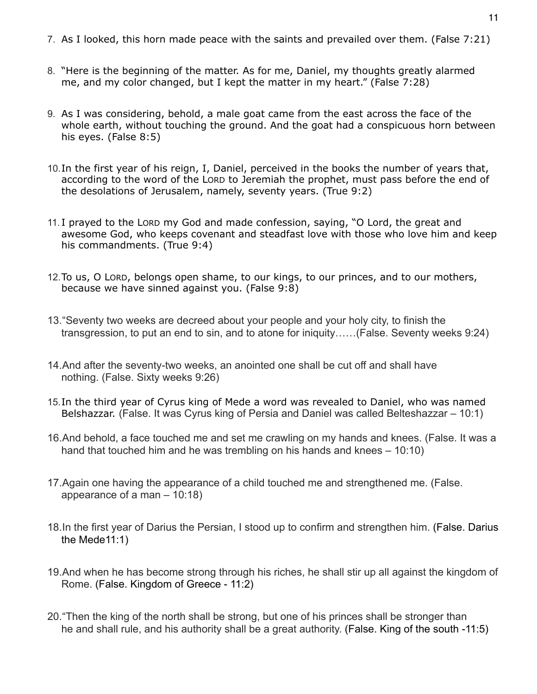- 7. As I looked, this horn made peace with the saints and prevailed over them. (False 7:21)
- 8. "Here is the beginning of the matter. As for me, Daniel, my thoughts greatly alarmed me, and my color changed, but I kept the matter in my heart." (False 7:28)
- 9. As I was considering, behold, a male goat came from the east across the face of the whole earth, without touching the ground. And the goat had a conspicuous horn between his eyes. (False 8:5)
- 10.In the first year of his reign, I, Daniel, perceived in the books the number of years that, according to the word of the LORD to Jeremiah the prophet, must pass before the end of the desolations of Jerusalem, namely, seventy years. (True 9:2)
- 11. I prayed to the LORD my God and made confession, saying, "O Lord, the great and awesome God, who keeps covenant and steadfast love with those who love him and keep his commandments. (True 9:4)
- 12.To us, O LORD, belongs open shame, to our kings, to our princes, and to our mothers, because we have sinned against you. (False 9:8)
- 13."Seventy two weeks are decreed about your people and your holy city, to finish the transgression, to put an end to sin, and to atone for iniquity……(False. Seventy weeks 9:24)
- 14.And after the seventy-two weeks, an anointed one shall be cut off and shall have nothing. (False. Sixty weeks 9:26)
- 15.In the third year of Cyrus king of Mede a word was revealed to Daniel, who was named Belshazzar. (False. It was Cyrus king of Persia and Daniel was called Belteshazzar – 10:1)
- 16.And behold, a face touched me and set me crawling on my hands and knees. (False. It was a hand that touched him and he was trembling on his hands and knees – 10:10)
- 17.Again one having the appearance of a child touched me and strengthened me. (False. appearance of a man – 10:18)
- 18.In the first year of Darius the Persian, I stood up to confirm and strengthen him. (False. Darius the Mede11:1)
- 19.And when he has become strong through his riches, he shall stir up all against the kingdom of Rome. (False. Kingdom of Greece - 11:2)
- 20."Then the king of the north shall be strong, but one of his princes shall be stronger than he and shall rule, and his authority shall be a great authority. (False. King of the south -11:5)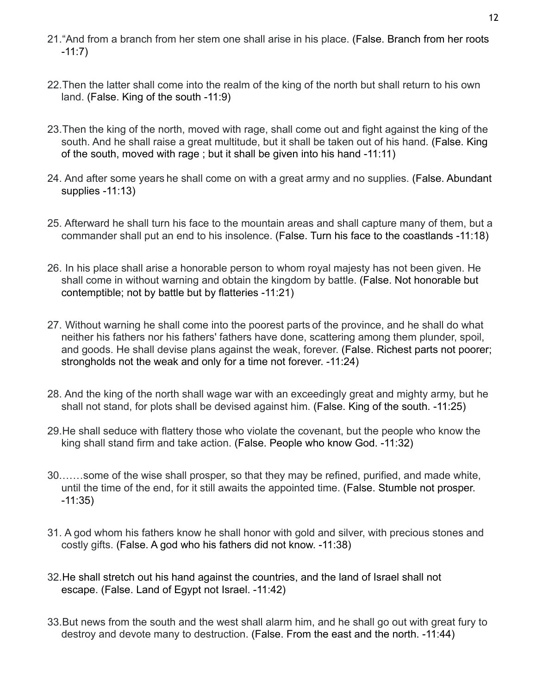- 21."And from a branch from her stem one shall arise in his place. (False. Branch from her roots -11:7)
- 22.Then the latter shall come into the realm of the king of the north but shall return to his own land. (False. King of the south -11:9)
- 23.Then the king of the north, moved with rage, shall come out and fight against the king of the south. And he shall raise a great multitude, but it shall be taken out of his hand. (False. King of the south, moved with rage ; but it shall be given into his hand -11:11)
- 24. And after some years he shall come on with a great army and no supplies. (False. Abundant supplies -11:13)
- 25. Afterward he shall turn his face to the mountain areas and shall capture many of them, but a commander shall put an end to his insolence. (False. Turn his face to the coastlands -11:18)
- 26. In his place shall arise a honorable person to whom royal majesty has not been given. He shall come in without warning and obtain the kingdom by battle. (False. Not honorable but contemptible; not by battle but by flatteries -11:21)
- 27. Without warning he shall come into the poorest parts of the province, and he shall do what neither his fathers nor his fathers' fathers have done, scattering among them plunder, spoil, and goods. He shall devise plans against the weak, forever. (False. Richest parts not poorer; strongholds not the weak and only for a time not forever. -11:24)
- 28. And the king of the north shall wage war with an exceedingly great and mighty army, but he shall not stand, for plots shall be devised against him. (False. King of the south. -11:25)
- 29.He shall seduce with flattery those who violate the covenant, but the people who know the king shall stand firm and take action. (False. People who know God. -11:32)
- 30.……some of the wise shall prosper, so that they may be refined, purified, and made white, until the time of the end, for it still awaits the appointed time. (False. Stumble not prosper. -11:35)
- 31. A god whom his fathers know he shall honor with gold and silver, with precious stones and costly gifts. (False. A god who his fathers did not know. -11:38)
- 32.He shall stretch out his hand against the countries, and the land of Israel shall not escape. (False. Land of Egypt not Israel. -11:42)
- 33.But news from the south and the west shall alarm him, and he shall go out with great fury to destroy and devote many to destruction. (False. From the east and the north. -11:44)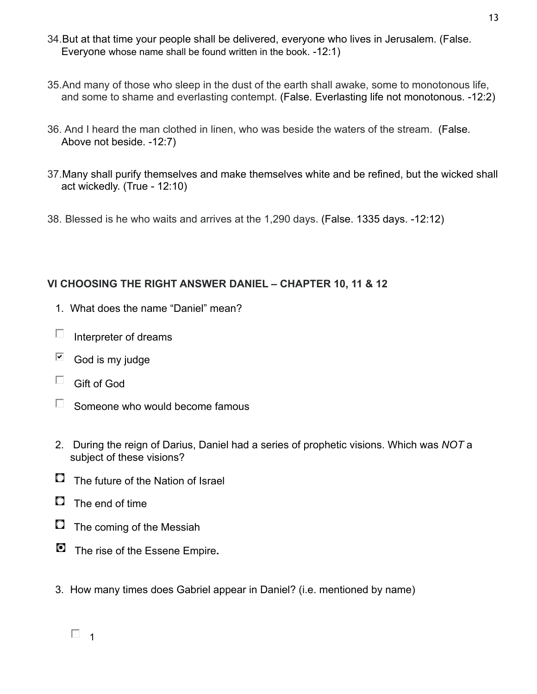- 34.But at that time your people shall be delivered, everyone who lives in Jerusalem. (False. Everyone whose name shall be found written in the book. -12:1)
- 35.And many of those who sleep in the dust of the earth shall awake, some to monotonous life, and some to shame and everlasting contempt. (False. Everlasting life not monotonous. -12:2)
- 36. And I heard the man clothed in linen, who was beside the waters of the stream. (False. Above not beside. -12:7)
- 37.Many shall purify themselves and make themselves white and be refined, but the wicked shall act wickedly. (True - 12:10)
- 38. Blessed is he who waits and arrives at the 1,290 days. (False. 1335 days. -12:12)

### **VI CHOOSING THE RIGHT ANSWER DANIEL – CHAPTER 10, 11 & 12**

- 1. What does the name "Daniel" mean?
- $\Box$ Interpreter of dreams
- ☑ God is my judge
- $\Box$  Gift of God
- $\Box$  Someone who would become famous
- 2. During the reign of Darius, Daniel had a series of prophetic visions. Which was *NOT* a subject of these visions?
- $\Box$  The future of the Nation of Israel
- $\Box$  The end of time
- $\Box$  The coming of the Messiah
- The rise of the Essene Empire**.**
- 3. How many times does Gabriel appear in Daniel? (i.e. mentioned by name)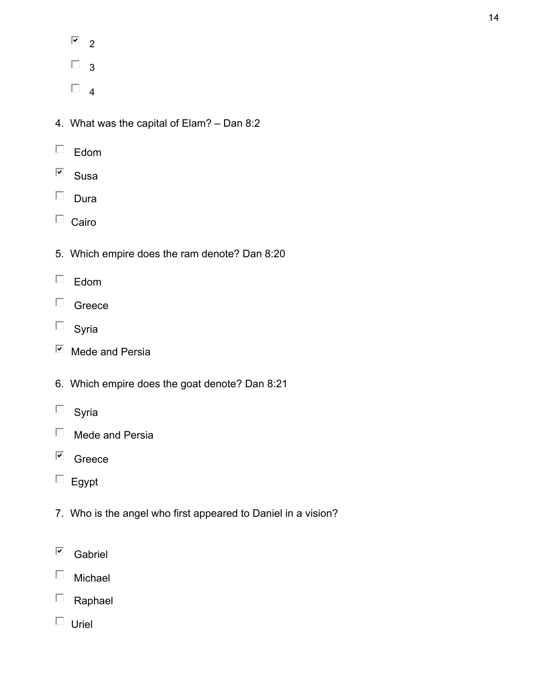- $\overline{2}$
- $\Box$  3
- $\Box$ <sub>4</sub>
- 4. What was the capital of Elam? Dan 8:2
- $\square$  Edom
- $\overline{\blacktriangledown}$ Susa
- $\square$  Dura
- $\Box$  Cairo
- 5. Which empire does the ram denote? Dan 8:20
- $\square$  Edom
- $\Box$  Greece
- $\square$  Syria
- $\overline{\boxtimes}$  Mede and Persia
- 6. Which empire does the goat denote? Dan 8:21
- $\square$  Syria
- $\Box$  Mede and Persia
- $\overline{\blacksquare}$  Greece
- $\Box$  Egypt
- 7. Who is the angel who first appeared to Daniel in a vision?
- $\overline{\mathbf{y}}$ Gabriel
- $\Box$ Michael
- $\Box$  Raphael
- $\Box$  Uriel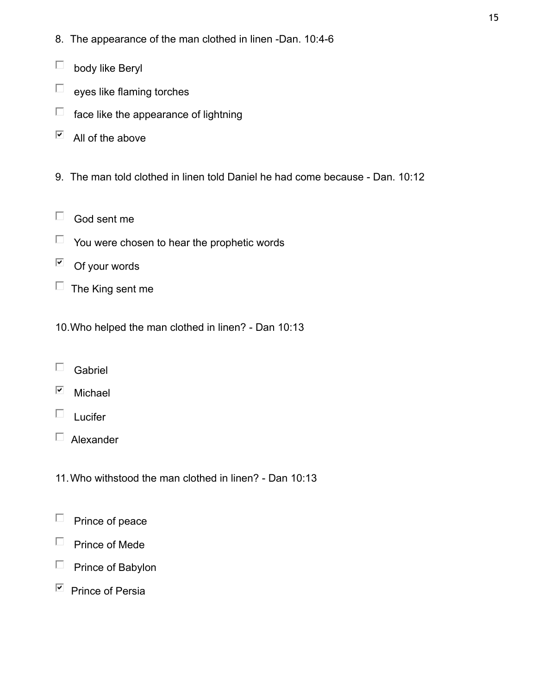- 8. The appearance of the man clothed in linen -Dan. 10:4-6
- $\Box$ body like Beryl
- $\Box$ eyes like flaming torches
- $\Box$  face like the appearance of lightning
- $\overline{\mathbf{v}}$ All of the above
- 9. The man told clothed in linen told Daniel he had come because Dan. 10:12
- $\Box$  God sent me
- $\Box$  You were chosen to hear the prophetic words
- ☑ Of your words
- $\Box$  The King sent me
- 10.Who helped the man clothed in linen? Dan 10:13
- $\Box$ Gabriel
- $\overline{\blacktriangledown}$ Michael
- $\square$  Lucifer
- Alexander
- 11.Who withstood the man clothed in linen? Dan 10:13
- $\Box$ Prince of peace
- $\Box$  Prince of Mede
- $\Box$  Prince of Babylon
- $\overline{\mathbb{P}}$  Prince of Persia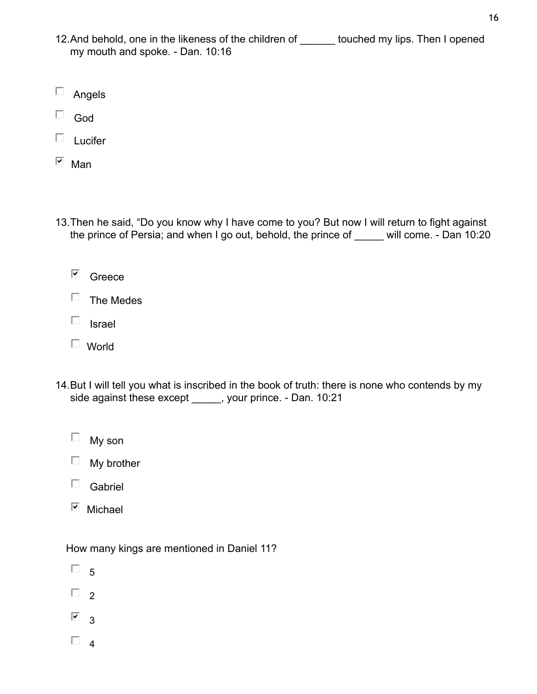- 12.And behold, one in the likeness of the children of \_\_\_\_\_\_ touched my lips. Then I opened my mouth and spoke. - Dan. 10:16
- $\Box$ Angels
- God
- $\square$  Lucifer
- $\overline{\blacksquare}$  Man
- 13.Then he said, "Do you know why I have come to you? But now I will return to fight against the prince of Persia; and when I go out, behold, the prince of \_\_\_\_\_ will come. - Dan 10:20
	- Greece
	- $\Box$  The Medes
	- $\Box$  Israel
	- World
- 14.But I will tell you what is inscribed in the book of truth: there is none who contends by my side against these except \_\_\_\_\_, your prince. - Dan. 10:21
	- $\Box$  My son
	- $\Box$  My brother
	- $\square$  Gabriel
	- $\overline{\phantom{a}}$  Michael

How many kings are mentioned in Daniel 11?

- $\Box$  5
- $\Box$  2
- $\overline{9}$  3
- $\Box$  4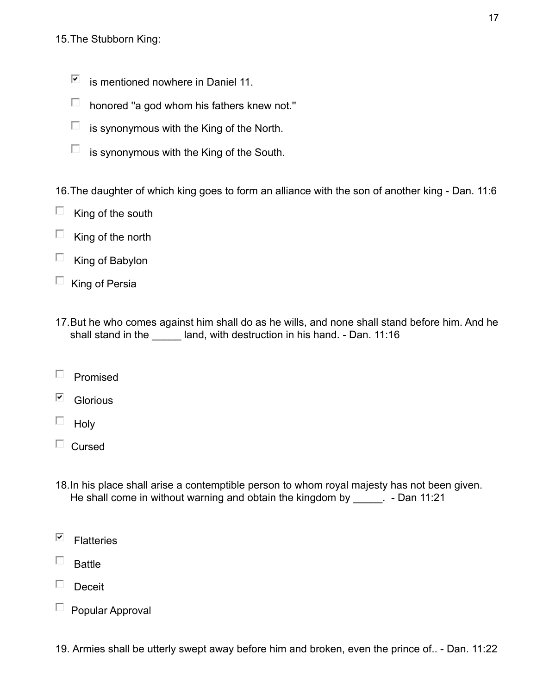### 15.The Stubborn King:

- ⊽ is mentioned nowhere in Daniel 11.
- $\Box$ honored ''a god whom his fathers knew not.''
- $\Box$ is synonymous with the King of the North.
- $\Box$ is synonymous with the King of the South.

16.The daughter of which king goes to form an alliance with the son of another king - Dan. 11:6

- $\Box$ King of the south
- $\Box$ King of the north
- $\Box$ King of Babylon
- $\Box$  King of Persia
- 17.But he who comes against him shall do as he wills, and none shall stand before him. And he shall stand in the \_\_\_\_\_ land, with destruction in his hand. - Dan. 11:16
- $\Box$ Promised
- $\overline{\mathbf{v}}$ **Glorious**
- $\Box$  Holy
- $\Box$  Cursed
- 18.In his place shall arise a contemptible person to whom royal majesty has not been given. He shall come in without warning and obtain the kingdom by \_\_\_\_\_. - Dan 11:21
- ⊽ **Flatteries**
- $\Box$ Battle
- $\Box$  Deceit
- $\Box$  Popular Approval

19. Armies shall be utterly swept away before him and broken, even the prince of.. - Dan. 11:22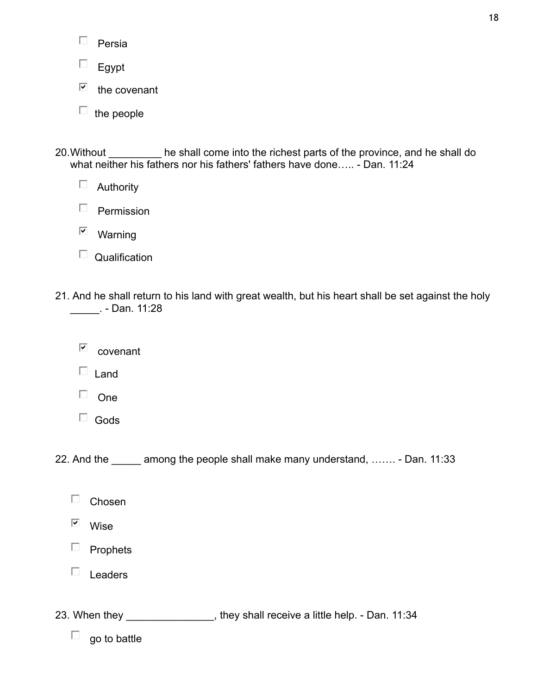| Persia |
|--------|
|--------|

 $\square$  Egypt

⊽ the covenant

 $\Box$  the people

20. Without \_\_\_\_\_\_\_\_\_ he shall come into the richest parts of the province, and he shall do what neither his fathers nor his fathers' fathers have done..... - Dan. 11:24

 $\Box$  Authority

 $\Box$  Permission

 $\overline{\mathsf{w}}$  Warning

| Qualification |
|---------------|
|---------------|

21. And he shall return to his land with great wealth, but his heart shall be set against the holy \_\_\_\_\_. - Dan. 11:28

 $\overline{\mathsf{C}}$  covenant

 $\Box$  Land

 $\Box$  One

 $\Box$  Gods

22. And the among the people shall make many understand, ……. - Dan. 11:33

- $\overline{\blacktriangledown}$ Wise
- $\Box$  Prophets
- $\Box$  Leaders
- 23. When they \_\_\_\_\_\_\_\_\_\_\_\_\_\_, they shall receive a little help. Dan. 11:34

 $\Box$  go to battle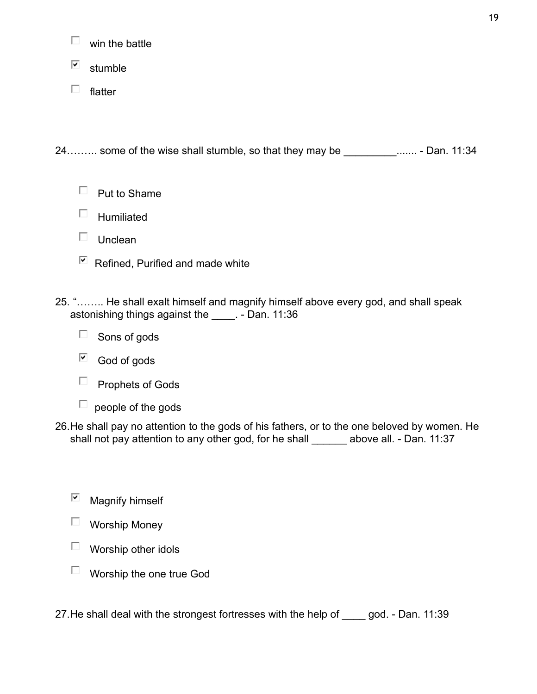- П win the battle
- $\overline{\mathbf{v}}$ stumble
- $\square$  flatter

24......... some of the wise shall stumble, so that they may be \_\_\_\_\_\_\_\_\_\_\_....... - Dan. 11:34

- $\Box$  Humiliated
- $\Box$  Unclean
- $\boxdot$  Refined, Purified and made white
- 25. "…….. He shall exalt himself and magnify himself above every god, and shall speak astonishing things against the \_\_\_\_. - Dan. 11:36
	- $\Box$  Sons of gods
	- $\Box$  God of gods
	- $\Box$  Prophets of Gods
	- $\Box$  people of the gods
- 26.He shall pay no attention to the gods of his fathers, or to the one beloved by women. He shall not pay attention to any other god, for he shall above all. - Dan. 11:37
	- $\overline{\mathbf{v}}$ Magnify himself
	- Worship Money
	- $\Box$  Worship other idols
	- $\Box$  Worship the one true God

27.He shall deal with the strongest fortresses with the help of \_\_\_\_ god. - Dan. 11:39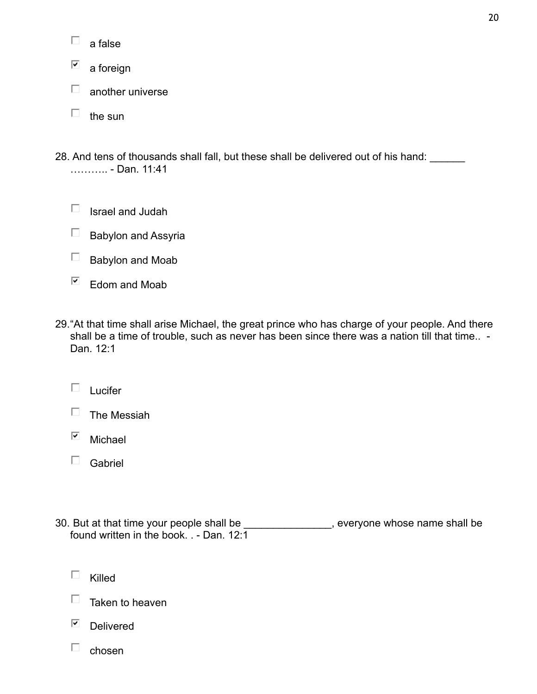☑ a foreign

- $\Box$ another universe
- $\Box$  the sun
- 28. And tens of thousands shall fall, but these shall be delivered out of his hand: \_\_\_\_\_\_ ……….. - Dan. 11:41
	- $\Box$  Israel and Judah
	- $\Box$  Babylon and Assyria
	- $\Box$  Babylon and Moab
	- $E$  Edom and Moab
- 29."At that time shall arise Michael, the great prince who has charge of your people. And there shall be a time of trouble, such as never has been since there was a nation till that time.. -Dan. 12:1
	- $\square$  Lucifer

| The Messiah |  |
|-------------|--|
|-------------|--|

- $\overline{\mathbf{v}}$ Michael
- $\square$  Gabriel
- 30. But at that time your people shall be \_\_\_\_\_\_\_\_\_\_\_\_\_\_\_, everyone whose name shall be found written in the book. . - Dan. 12:1
	- $\Box$ Killed
	- $\Box$  Taken to heaven
	- $\overline{\blacktriangledown}$ Delivered
	- $\Box$ chosen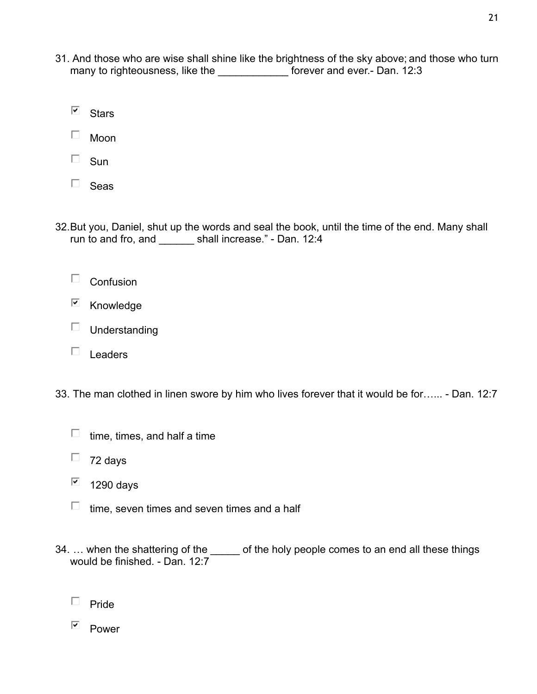31. And those who are wise shall shine like the brightness of the sky above; and those who turn many to righteousness, like the **contact to reference the contact of the many** forever and ever.- Dan. 12:3

⊽ **Stars** 

 $\square$  Moon

 $\square$  Sun

 $\square$  Seas

32.But you, Daniel, shut up the words and seal the book, until the time of the end. Many shall run to and fro, and shall increase." - Dan. 12:4

 $\Box$  Confusion

- $\boxdot$  Knowledge
- $\square$  Understanding
- $\square$  Leaders

33. The man clothed in linen swore by him who lives forever that it would be for…... - Dan. 12:7

 $\Box$  time, times, and half a time

 $\Box$  72 days

☑ 1290 days

- $\Box$  time, seven times and seven times and a half
- 34. ... when the shattering of the \_\_\_\_\_ of the holy people comes to an end all these things would be finished. - Dan. 12:7
	- $\Box$  Pride
	- $P$ ower